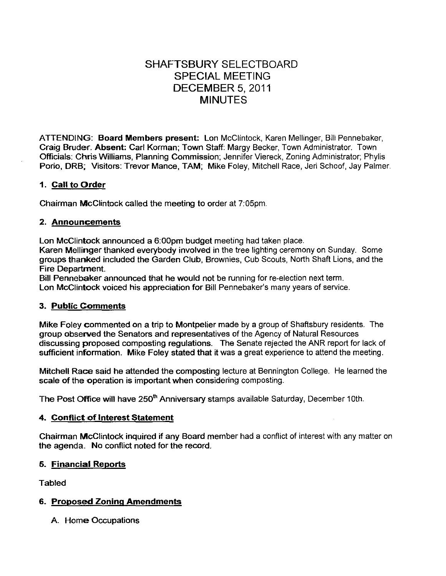# SHAFTSBURY SELECTBOARD SPECIAL MEETING DECEMBER 5, 2011 MINUTES

ATTENDING: Board Members present: Lon McClintock, Karen Mellinger, Bill Pennebaker, Craig Bruder. Absent: Carl Korman; Town Staff: Margy Becker, Town Administrator. Town Officials: Chris Williams, Planning Commission; Jennifer Viereck, Zoning Administrator; Phylis Porio, ORB; Visitors: Trevor Mance, TAM; Mike Foley, Mitchell Race, Jeri Schoof, Jay Palmer.

### 1. Call to Order

Chairman McClintock called the meeting to order at 7:05pm.

### 2. Announcements

Lon McClintock announced a 6:00pm budget meeting had taken place.

Karen Mellinger thanked everybody involved in the tree lighting ceremony on Sunday. Some groups thanked included the Garden Club, Brownies, Cub Scouts, North Shaft Lions, and the Fire Department.

Bill Pennebaker announced that he would not be running for re-election next term. Lon McClintock voiced his appreciation for Bill Pennebaker's many years of service.

#### 3. Public Comments

Mike Foley commented on a trip to Montpelier made by a group of Shaftsbury residents. The group observed the Senators and representatives of the Agency of Natural Resources discussing proposed composting regulations. The Senate rejected the ANR report for lack of sufficient information. Mike Foley stated that it was a great experience to attend the meeting.

Mitchell Race said he attended the composting lecture at Bennington College. He learned the scale of the operation is important when considering composting.

The Post Office will have 250<sup>th</sup> Anniversary stamps available Saturday, December 10th.

### 4. Conflict of Interest Statement

Chairman McClintock inquired if any Board member had a conflict of interest with any matter on the agenda. No conflict noted for the record.

### 5. Financial Reports

Tabled

### 6. Proposed Zoning Amendments

A. Home Occupations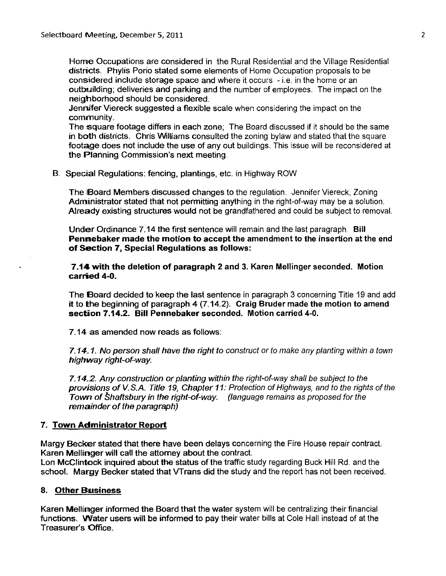Home Occupations are considered in the Rural Residential and the Village Residential districts. Phylis Porio stated some elements of Home Occupation proposals to be considered include storage space and where it occurs - i.e. in the home or an outbuilding; deliveries and parking and the number of employees. The impact on the neighborhood should be considered.

Jennifer Viereck suggested a flexible scale when considering the impact on the community.

The square footage differs in each zone; The Board discussed if it should be the same in both districts. Chris Williams consulted the zoning bylaw and stated that the square footage does not include the use of any out buildings. This issue will be reconsidered at the Planning Commission's next meeting.

B. Special Regulations: fencing, plantings, etc. in Highway ROW

The **Board Members discussed changes to the regulation.** Jennifer Viereck, Zoning Administrator stated that not permitting anything in the right-of-way may be a solution. Already existing structures would not be grandfathered and could be subject to removal.

Under Ordinance 7.14 the first sentence will remain and the last paragraph. Bill Pennebaker made the motion to accept the amendment to the insertion at the end of Section 7, Special Regulations as follows:

7.14 with the deletion of paragraph 2 and 3. Karen Mellinger seconded. Motion carried 4-0.

The Board decided to keep the last sentence in paragraph 3 concerning Title 19 and add it to the beginning of paragraph 4 (7.14.2). Craig Bruder made the motion to amend section 7.14.2. Bill Pennebaker seconded. Motion carried 4-0.

7.14 as amended now reads as follows:

7.14. 1. No person shall have the right to construct or to make any planting within a town highway right-of-way.

7.14.2. Any construction or planting within the right-of-way shall be subject to the provisions of V. S.A. Title 19, Chapter 11: Protection of Highways, and to the rights of the Town of Shaftsbury in the right-of-way. (language remains as proposed for the remainder of the paragraph)

### 7. Town Administrator Report

Margy Becker stated that there have been delays concerning the Fire House repair contract. Karen Mellinger will call the attorney about the contract. Lon McClintock inquired about the status of the traffic study regarding Buck Hill Rd. and the

school. Margy Becker stated that VTrans did the study and the report has not been received.

### 8. Other Business

Karen Mellirnger informed the Board that the water system will be centralizing their financial functions. Water users will be informed to pay their water bills at Cole Hall instead of at the Treasurer's Office.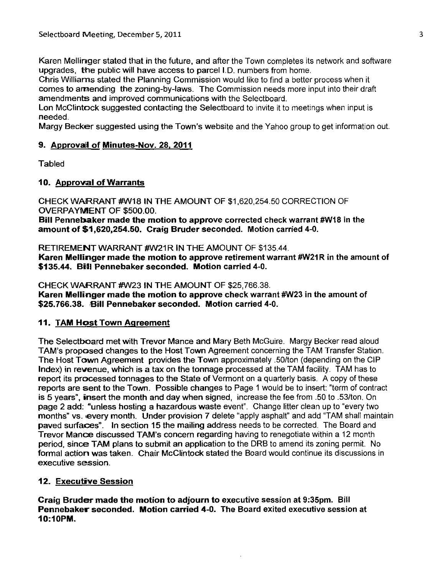Karen Mellinger stated that in the future, and after the Town completes its network and software upgrades, the public will have access to parcel 1.0. numbers from home.

Chris Williams stated the Planning Commission would like to find a better process when it comes to amending the zoning-by-Iaws. The Commission needs more input into their draft amendments and improved communications with the Selectboard.

Lon McClintock suggested contacting the Selectboard to invite it to meetings when input is needed.

Margy Becker suggested using the Town's website and the Yahoo group to get information out.

### 9. Approval of Minutes-Nov. 28, 2011

**Tabled** 

## 10. Approval of Warrants

CHECK WARRANT #W18 IN THE AMOUNT OF \$1,620,254.50 CORRECTION OF OVERPAYMENT OF \$500.00.

Bill Pennebaker made the motion to approve corrected check warrant #W18 in the amount of \$1,620,254.50. Craig Bruder seconded. Motion carried 4-0.

RETIREMENT WARRANT #W21R IN THE AMOUNT OF \$135.44. Karen Mellinger made the motion to approve retirement warrant #W21R in the amount of \$135.44. Bill Pennebaker seconded. Motion carried 4-0.

CHECK WARRANT #W23 IN THE AMOUNT OF \$25,766.38. Karen Mellinger made the motion to approve check warrant #W23 in the amount of \$25.766.38. Bill Pennebaker seconded. Motion carried 4-0.

### 11. TAM Host Town Agreement

The Selectboard met with Trevor Mance and Mary Beth McGuire. Margy Becker read aloud TAM's proposed changes to the Host Town Agreement concerning the TAM Transfer Station. The Host Town Agreement provides the Town approximately .50/ton (depending on the CIP Index) in revenue, which is a tax on the tonnage processed at the TAM facility. TAM has to report its processed tonnages to the State of Vermont on a quarterly basis. A copy of these reports are sent to the Town. Possible changes to Page 1 would be to insert: "term of contract is 5 years', insert the month and day when signed, increase the fee from .50 to .53/ton. On page 2 add: "unless hosting a hazardous waste event". Change litter clean up to "every two months" vs. every month. Under provision 7 delete "apply asphalt" and add "TAM shall maintain paved surfaces', In section 15 the mailing address needs to be corrected. The Board and Trevor Mance discussed TAM's concern regarding having to renegotiate within a 12 month period, since TAM plans to submit an application to the ORB to amend its zoning permit. No formal action was taken. Chair McClintock stated the Board would continue its discussions in executive session.

## 12. Executive Session

Craig Bruder made the motion to adjourn to executive session at 9:35pm. Bill Pennebaker seconded. Motion carried 4-0. The Board exited executive session at 10:10PM.